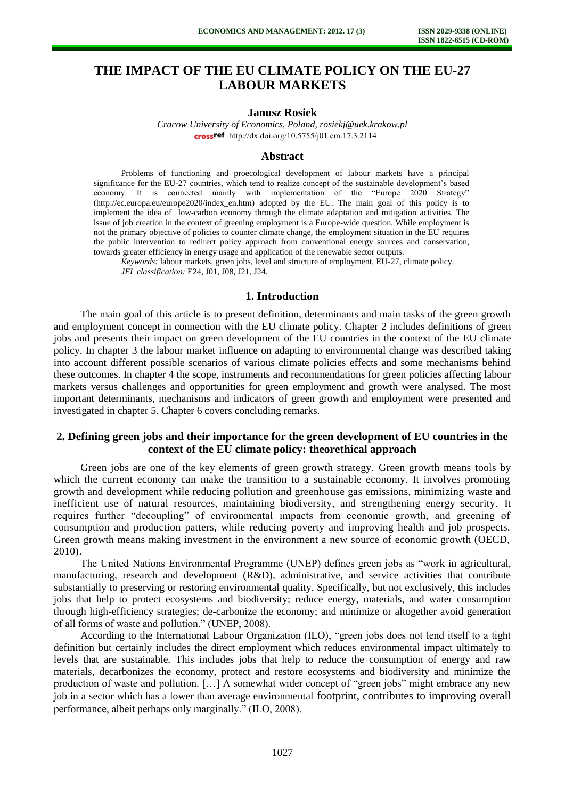# **THE IMPACT OF THE EU CLIMATE POLICY ON THE EU-27 LABOUR MARKETS**

# **Janusz Rosiek**

*Cracow University of Economics, Poland, rosiekj@uek.krakow.pl*  crossref [http://dx.doi.org/10.5755/j01.e](http://dx.doi.org/10.5755/j01.em.17.3.2114)m.17.3.2114

#### **Abstract**

Problems of functioning and proecological development of labour markets have a principal significance for the EU-27 countries, which tend to realize concept of the sustainable development's based economy. It is connected mainly with implementation of the "Europe 2020 Strategy" [\(http://ec.europa.eu/europe2020/index\\_en.htm\)](http://ec.europa.eu/europe2020/index_en.htm) adopted by the EU. The main goal of this policy is to implement the idea of low-carbon economy through the climate adaptation and mitigation activities. The issue of job creation in the context of greening employment is a Europe-wide question. While employment is not the primary objective of policies to counter climate change, the employment situation in the EU requires the public intervention to redirect policy approach from conventional energy sources and conservation, towards greater efficiency in energy usage and application of the renewable sector outputs.

*Keywords:* labour markets, green jobs, level and structure of employment, EU-27, climate policy. *JEL classification:* E24, J01, J08, J21, J24.

### **1. Introduction**

The main goal of this article is to present definition, determinants and main tasks of the green growth and employment concept in connection with the EU climate policy. Chapter 2 includes definitions of green jobs and presents their impact on green development of the EU countries in the context of the EU climate policy. In chapter 3 the labour market influence on adapting to environmental change was described taking into account different possible scenarios of various climate policies effects and some mechanisms behind these outcomes. In chapter 4 the scope, instruments and recommendations for green policies affecting labour markets versus challenges and opportunities for green employment and growth were analysed. The most important determinants, mechanisms and indicators of green growth and employment were presented and investigated in chapter 5. Chapter 6 covers concluding remarks.

# **2. Defining green jobs and their importance for the green development of EU countries in the context of the EU climate policy: theorethical approach**

Green jobs are one of the key elements of green growth strategy. Green growth means tools by which the current economy can make the transition to a sustainable economy. It involves promoting growth and development while reducing pollution and greenhouse gas emissions, minimizing waste and inefficient use of natural resources, maintaining biodiversity, and strengthening energy security. It requires further "decoupling" of environmental impacts from economic growth, and greening of consumption and production patters, while reducing poverty and improving health and job prospects. Green growth means making investment in the environment a new source of economic growth (OECD, 2010).

The United Nations Environmental Programme (UNEP) defines green jobs as "work in agricultural, manufacturing, research and development (R&D), administrative, and service activities that contribute substantially to preserving or restoring environmental quality. Specifically, but not exclusively, this includes jobs that help to protect ecosystems and biodiversity; reduce energy, materials, and water consumption through high-efficiency strategies; de-carbonize the economy; and minimize or altogether avoid generation of all forms of waste and pollution." (UNEP, 2008).

According to the International Labour Organization (ILO), "green jobs does not lend itself to a tight definition but certainly includes the direct employment which reduces environmental impact ultimately to levels that are sustainable. This includes jobs that help to reduce the consumption of energy and raw materials, decarbonizes the economy, protect and restore ecosystems and biodiversity and minimize the production of waste and pollution. […] A somewhat wider concept of "green jobs" might embrace any new job in a sector which has a lower than average environmental footprint, contributes to improving overall performance, albeit perhaps only marginally." (ILO, 2008).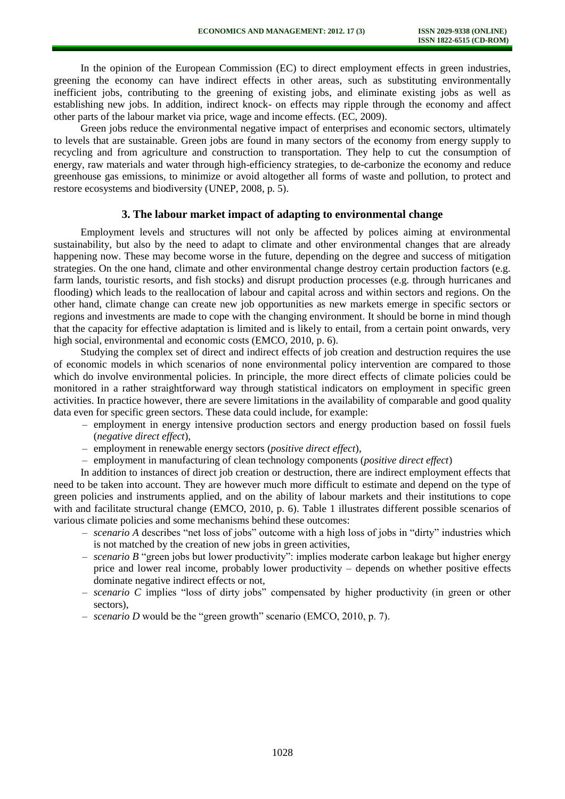In the opinion of the European Commission (EC) to direct employment effects in green industries, greening the economy can have indirect effects in other areas, such as substituting environmentally inefficient jobs, contributing to the greening of existing jobs, and eliminate existing jobs as well as establishing new jobs. In addition, indirect knock- on effects may ripple through the economy and affect other parts of the labour market via price, wage and income effects. (EC, 2009).

Green jobs reduce the environmental negative impact of enterprises and economic sectors, ultimately to levels that are sustainable. Green jobs are found in many sectors of the economy from energy supply to recycling and from agriculture and construction to transportation. They help to cut the consumption of energy, raw materials and water through high-efficiency strategies, to de-carbonize the economy and reduce greenhouse gas emissions, to minimize or avoid altogether all forms of waste and pollution, to protect and restore ecosystems and biodiversity (UNEP, 2008, p. 5).

#### **3. The labour market impact of adapting to environmental change**

Employment levels and structures will not only be affected by polices aiming at environmental sustainability, but also by the need to adapt to climate and other environmental changes that are already happening now. These may become worse in the future, depending on the degree and success of mitigation strategies. On the one hand, climate and other environmental change destroy certain production factors (e.g. farm lands, touristic resorts, and fish stocks) and disrupt production processes (e.g. through hurricanes and flooding) which leads to the reallocation of labour and capital across and within sectors and regions. On the other hand, climate change can create new job opportunities as new markets emerge in specific sectors or regions and investments are made to cope with the changing environment. It should be borne in mind though that the capacity for effective adaptation is limited and is likely to entail, from a certain point onwards, very high social, environmental and economic costs (EMCO, 2010, p. 6).

Studying the complex set of direct and indirect effects of job creation and destruction requires the use of economic models in which scenarios of none environmental policy intervention are compared to those which do involve environmental policies. In principle, the more direct effects of climate policies could be monitored in a rather straightforward way through statistical indicators on employment in specific green activities. In practice however, there are severe limitations in the availability of comparable and good quality data even for specific green sectors. These data could include, for example:

- employment in energy intensive production sectors and energy production based on fossil fuels (*negative direct effect*),
- employment in renewable energy sectors (*positive direct effect*),
- employment in manufacturing of clean technology components (*positive direct effect*)

In addition to instances of direct job creation or destruction, there are indirect employment effects that need to be taken into account. They are however much more difficult to estimate and depend on the type of green policies and instruments applied, and on the ability of labour markets and their institutions to cope with and facilitate structural change (EMCO, 2010, p. 6). Table 1 illustrates different possible scenarios of various climate policies and some mechanisms behind these outcomes:

- *scenario A* describes "net loss of jobs" outcome with a high loss of jobs in "dirty" industries which is not matched by the creation of new jobs in green activities,
- *scenario B* "green jobs but lower productivity": implies moderate carbon leakage but higher energy price and lower real income, probably lower productivity – depends on whether positive effects dominate negative indirect effects or not,
- *scenario C* implies "loss of dirty jobs" compensated by higher productivity (in green or other sectors),
- *scenario D* would be the "green growth" scenario (EMCO, 2010, p. 7).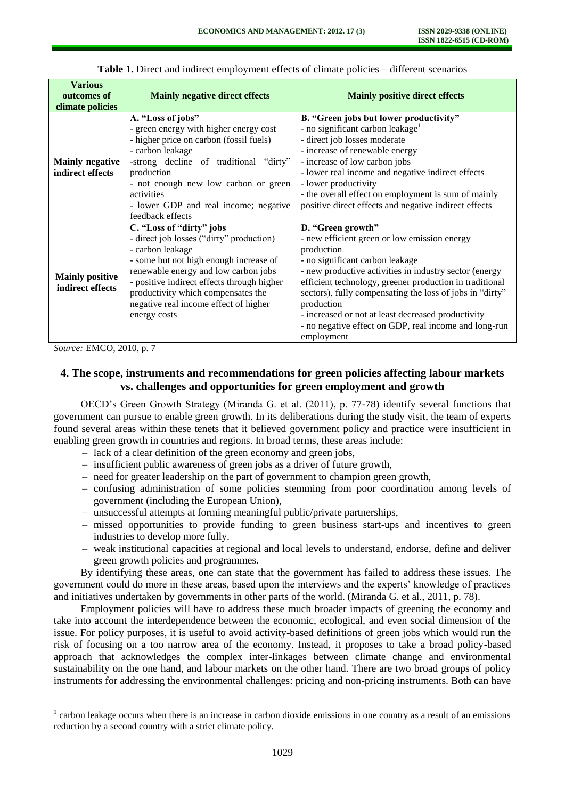| <b>Various</b><br>outcomes of<br>climate policies | <b>Mainly negative direct effects</b>                                                                                                                                                                                                                                                                                   | <b>Mainly positive direct effects</b>                                                                                                                                                                                                                                                                                                                                                                                                          |
|---------------------------------------------------|-------------------------------------------------------------------------------------------------------------------------------------------------------------------------------------------------------------------------------------------------------------------------------------------------------------------------|------------------------------------------------------------------------------------------------------------------------------------------------------------------------------------------------------------------------------------------------------------------------------------------------------------------------------------------------------------------------------------------------------------------------------------------------|
| <b>Mainly negative</b><br>indirect effects        | A. "Loss of jobs"<br>- green energy with higher energy cost<br>- higher price on carbon (fossil fuels)<br>- carbon leakage<br>-strong decline of traditional "dirty"<br>production<br>- not enough new low carbon or green<br>activities<br>- lower GDP and real income; negative<br>feedback effects                   | B. "Green jobs but lower productivity"<br>- no significant carbon leakage <sup>1</sup><br>- direct job losses moderate<br>- increase of renewable energy<br>- increase of low carbon jobs<br>- lower real income and negative indirect effects<br>- lower productivity<br>- the overall effect on employment is sum of mainly<br>positive direct effects and negative indirect effects                                                         |
| <b>Mainly positive</b><br>indirect effects        | C. "Loss of "dirty" jobs<br>- direct job losses ("dirty" production)<br>- carbon leakage<br>- some but not high enough increase of<br>renewable energy and low carbon jobs<br>- positive indirect effects through higher<br>productivity which compensates the<br>negative real income effect of higher<br>energy costs | D. "Green growth"<br>- new efficient green or low emission energy<br>production<br>- no significant carbon leakage<br>- new productive activities in industry sector (energy<br>efficient technology, greener production in traditional<br>sectors), fully compensating the loss of jobs in "dirty"<br>production<br>- increased or not at least decreased productivity<br>- no negative effect on GDP, real income and long-run<br>employment |

**Table 1.** Direct and indirect employment effects of climate policies – different scenarios

*Source:* EMCO, 2010, p. 7

l

# **4. The scope, instruments and recommendations for green policies affecting labour markets vs. challenges and opportunities for green employment and growth**

OECD's Green Growth Strategy (Miranda G. et al. (2011), p. 77-78) identify several functions that government can pursue to enable green growth. In its deliberations during the study visit, the team of experts found several areas within these tenets that it believed government policy and practice were insufficient in enabling green growth in countries and regions. In broad terms, these areas include:

- lack of a clear definition of the green economy and green jobs,
- insufficient public awareness of green jobs as a driver of future growth,
- need for greater leadership on the part of government to champion green growth,
- confusing administration of some policies stemming from poor coordination among levels of government (including the European Union),
- unsuccessful attempts at forming meaningful public/private partnerships,
- missed opportunities to provide funding to green business start-ups and incentives to green industries to develop more fully.
- weak institutional capacities at regional and local levels to understand, endorse, define and deliver green growth policies and programmes.

By identifying these areas, one can state that the government has failed to address these issues. The government could do more in these areas, based upon the interviews and the experts' knowledge of practices and initiatives undertaken by governments in other parts of the world. (Miranda G. et al., 2011, p. 78).

Employment policies will have to address these much broader impacts of greening the economy and take into account the interdependence between the economic, ecological, and even social dimension of the issue. For policy purposes, it is useful to avoid activity-based definitions of green jobs which would run the risk of focusing on a too narrow area of the economy. Instead, it proposes to take a broad policy-based approach that acknowledges the complex inter-linkages between climate change and environmental sustainability on the one hand, and labour markets on the other hand. There are two broad groups of policy instruments for addressing the environmental challenges: pricing and non-pricing instruments. Both can have

 $1$  carbon leakage occurs when there is an increase in carbon dioxide emissions in one country as a result of an emissions reduction by a second country with a strict climate policy.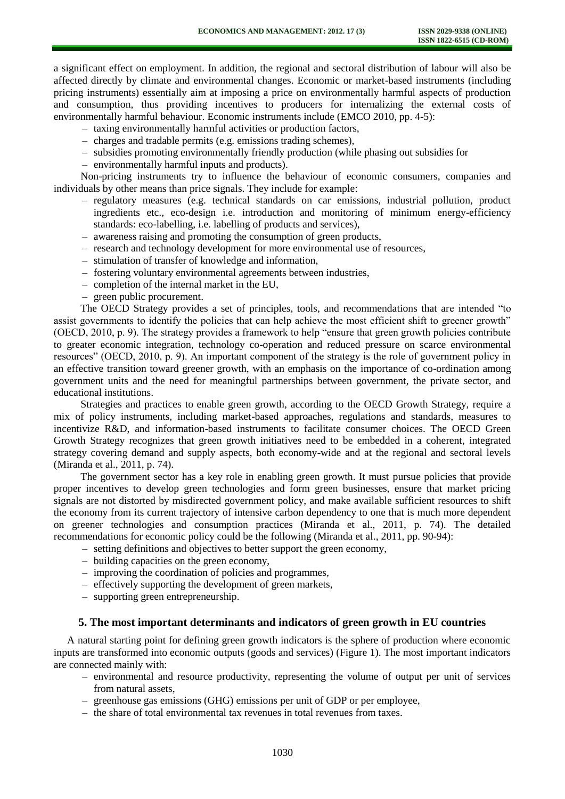a significant effect on employment. In addition, the regional and sectoral distribution of labour will also be affected directly by climate and environmental changes. Economic or market-based instruments (including pricing instruments) essentially aim at imposing a price on environmentally harmful aspects of production and consumption, thus providing incentives to producers for internalizing the external costs of environmentally harmful behaviour. Economic instruments include (EMCO 2010, pp. 4-5):

- taxing environmentally harmful activities or production factors,
- charges and tradable permits (e.g. emissions trading schemes),
- subsidies promoting environmentally friendly production (while phasing out subsidies for
- environmentally harmful inputs and products).

Non-pricing instruments try to influence the behaviour of economic consumers, companies and individuals by other means than price signals. They include for example:

- regulatory measures (e.g. technical standards on car emissions, industrial pollution, product ingredients etc., eco-design i.e. introduction and monitoring of minimum energy-efficiency standards: eco-labelling, i.e. labelling of products and services),
- awareness raising and promoting the consumption of green products,
- research and technology development for more environmental use of resources,
- stimulation of transfer of knowledge and information,
- fostering voluntary environmental agreements between industries,
- completion of the internal market in the EU,
- green public procurement.

The OECD Strategy provides a set of principles, tools, and recommendations that are intended "to assist governments to identify the policies that can help achieve the most efficient shift to greener growth" (OECD, 2010, p. 9). The strategy provides a framework to help "ensure that green growth policies contribute to greater economic integration, technology co-operation and reduced pressure on scarce environmental resources" (OECD, 2010, p. 9). An important component of the strategy is the role of government policy in an effective transition toward greener growth, with an emphasis on the importance of co-ordination among government units and the need for meaningful partnerships between government, the private sector, and educational institutions.

Strategies and practices to enable green growth, according to the OECD Growth Strategy, require a mix of policy instruments, including market-based approaches, regulations and standards, measures to incentivize R&D, and information-based instruments to facilitate consumer choices. The OECD Green Growth Strategy recognizes that green growth initiatives need to be embedded in a coherent, integrated strategy covering demand and supply aspects, both economy-wide and at the regional and sectoral levels (Miranda et al., 2011, p. 74).

The government sector has a key role in enabling green growth. It must pursue policies that provide proper incentives to develop green technologies and form green businesses, ensure that market pricing signals are not distorted by misdirected government policy, and make available sufficient resources to shift the economy from its current trajectory of intensive carbon dependency to one that is much more dependent on greener technologies and consumption practices (Miranda et al., 2011, p. 74). The detailed recommendations for economic policy could be the following (Miranda et al., 2011, pp. 90-94):

- setting definitions and objectives to better support the green economy,
- building capacities on the green economy,
- improving the coordination of policies and programmes,
- effectively supporting the development of green markets,
- supporting green entrepreneurship.

# **5. The most important determinants and indicators of green growth in EU countries**

A natural starting point for defining green growth indicators is the sphere of production where economic inputs are transformed into economic outputs (goods and services) (Figure 1). The most important indicators are connected mainly with:

- environmental and resource productivity, representing the volume of output per unit of services from natural assets,
- greenhouse gas emissions (GHG) emissions per unit of GDP or per employee,
- the share of total environmental tax revenues in total revenues from taxes.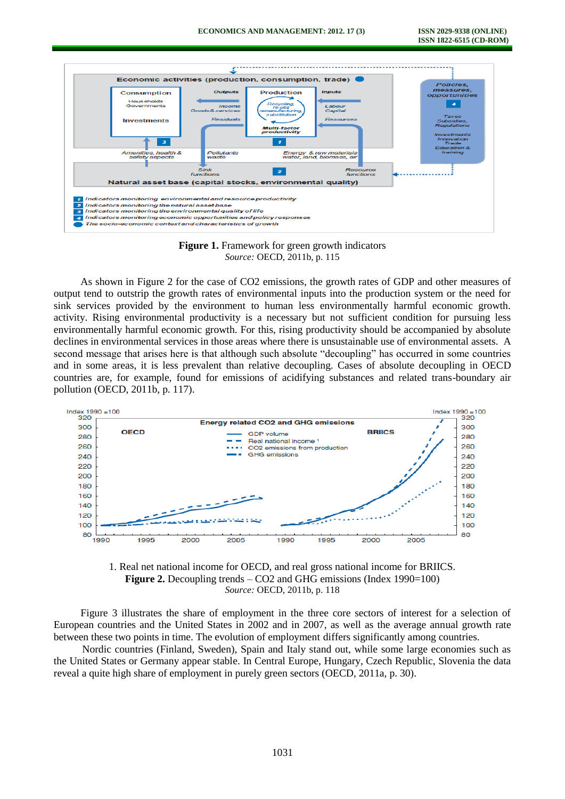

**Figure 1.** Framework for green growth indicators *Source:* OECD, 2011b, p. 115

As shown in Figure 2 for the case of CO2 emissions, the growth rates of GDP and other measures of output tend to outstrip the growth rates of environmental inputs into the production system or the need for sink services provided by the environment to human less environmentally harmful economic growth. activity. Rising environmental productivity is a necessary but not sufficient condition for pursuing less environmentally harmful economic growth. For this, rising productivity should be accompanied by absolute declines in environmental services in those areas where there is unsustainable use of environmental assets. A second message that arises here is that although such absolute "decoupling" has occurred in some countries and in some areas, it is less prevalent than relative decoupling. Cases of absolute decoupling in OECD countries are, for example, found for emissions of acidifying substances and related trans-boundary air pollution (OECD, 2011b, p. 117).





Figure 3 illustrates the share of employment in the three core sectors of interest for a selection of European countries and the United States in 2002 and in 2007, as well as the average annual growth rate between these two points in time. The evolution of employment differs significantly among countries.

Nordic countries (Finland, Sweden), Spain and Italy stand out, while some large economies such as the United States or Germany appear stable. In Central Europe, Hungary, Czech Republic, Slovenia the data reveal a quite high share of employment in purely green sectors (OECD, 2011a, p. 30).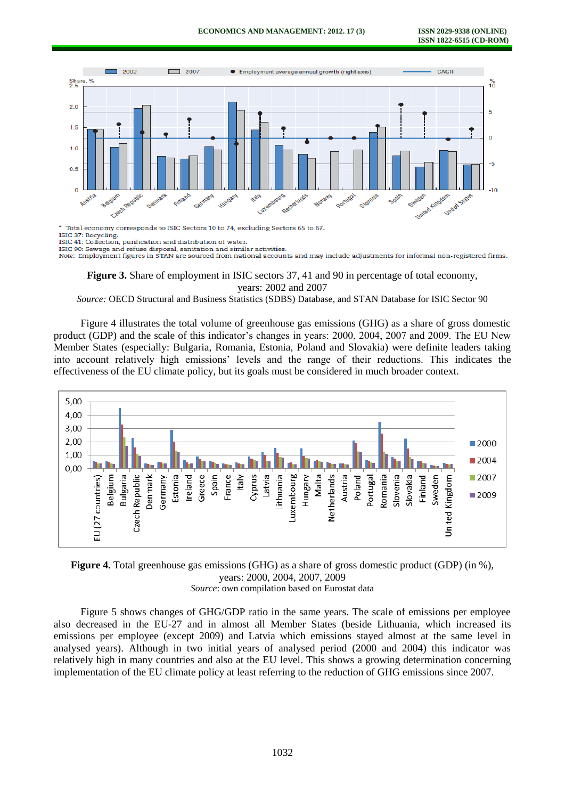

\* Total economy corresponds to ISIC Sectors 10 to 74, excluding Sectors 65 to 67 ISIC 37: Recycling

ISIC 41: Collection, purification and distribution of water

ISIC 90: Sewage and refuse disposal, sanitation and similar activities.<br>Note: Employment figures in STAN are sourced from national accounts and may include adjustments for informal non-registered firms.

**Figure 3.** Share of employment in ISIC sectors 37, 41 and 90 in percentage of total economy, years: 2002 and 2007

*Source:* OECD Structural and Business Statistics (SDBS) Database, and STAN Database for ISIC Sector 90

Figure 4 illustrates the total volume of greenhouse gas emissions (GHG) as a share of gross domestic product (GDP) and the scale of this indicator's changes in years: 2000, 2004, 2007 and 2009. The EU New Member States (especially: Bulgaria, Romania, Estonia, Poland and Slovakia) were definite leaders taking into account relatively high emissions' levels and the range of their reductions. This indicates the effectiveness of the EU climate policy, but its goals must be considered in much broader context.



**Figure 4.** Total greenhouse gas emissions (GHG) as a share of gross domestic product (GDP) (in %), years: 2000, 2004, 2007, 2009 *Source*: own compilation based on Eurostat data

Figure 5 shows changes of GHG/GDP ratio in the same years. The scale of emissions per employee also decreased in the EU-27 and in almost all Member States (beside Lithuania, which increased its emissions per employee (except 2009) and Latvia which emissions stayed almost at the same level in analysed years). Although in two initial years of analysed period (2000 and 2004) this indicator was relatively high in many countries and also at the EU level. This shows a growing determination concerning implementation of the EU climate policy at least referring to the reduction of GHG emissions since 2007.